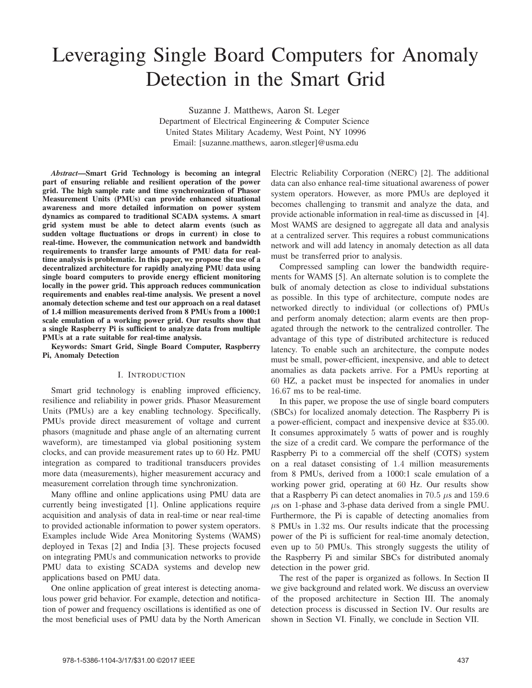# Leveraging Single Board Computers for Anomaly Detection in the Smart Grid

Suzanne J. Matthews, Aaron St. Leger Department of Electrical Engineering & Computer Science United States Military Academy, West Point, NY 10996 Email: [suzanne.matthews, aaron.stleger]@usma.edu

*Abstract*—Smart Grid Technology is becoming an integral part of ensuring reliable and resilient operation of the power grid. The high sample rate and time synchronization of Phasor Measurement Units (PMUs) can provide enhanced situational awareness and more detailed information on power system dynamics as compared to traditional SCADA systems. A smart grid system must be able to detect alarm events (such as sudden voltage fluctuations or drops in current) in close to real-time. However, the communication network and bandwidth requirements to transfer large amounts of PMU data for realtime analysis is problematic. In this paper, we propose the use of a decentralized architecture for rapidly analyzing PMU data using single board computers to provide energy efficient monitoring locally in the power grid. This approach reduces communication requirements and enables real-time analysis. We present a novel anomaly detection scheme and test our approach on a real dataset of 1.4 million measurements derived from 8 PMUs from a 1000:1 scale emulation of a working power grid. Our results show that a single Raspberry Pi is sufficient to analyze data from multiple PMUs at a rate suitable for real-time analysis.

Keywords: Smart Grid, Single Board Computer, Raspberry Pi, Anomaly Detection

# I. INTRODUCTION

Smart grid technology is enabling improved efficiency, resilience and reliability in power grids. Phasor Measurement Units (PMUs) are a key enabling technology. Specifically, PMUs provide direct measurement of voltage and current phasors (magnitude and phase angle of an alternating current waveform), are timestamped via global positioning system clocks, and can provide measurement rates up to 60 Hz. PMU integration as compared to traditional transducers provides more data (measurements), higher measurement accuracy and measurement correlation through time synchronization.

Many offline and online applications using PMU data are currently being investigated [1]. Online applications require acquisition and analysis of data in real-time or near real-time to provided actionable information to power system operators. Examples include Wide Area Monitoring Systems (WAMS) deployed in Texas [2] and India [3]. These projects focused on integrating PMUs and communication networks to provide PMU data to existing SCADA systems and develop new applications based on PMU data.

One online application of great interest is detecting anomalous power grid behavior. For example, detection and notification of power and frequency oscillations is identified as one of the most beneficial uses of PMU data by the North American

Electric Reliability Corporation (NERC) [2]. The additional data can also enhance real-time situational awareness of power system operators. However, as more PMUs are deployed it becomes challenging to transmit and analyze the data, and provide actionable information in real-time as discussed in [4]. Most WAMS are designed to aggregate all data and analysis at a centralized server. This requires a robust communications network and will add latency in anomaly detection as all data must be transferred prior to analysis.

Compressed sampling can lower the bandwidth requirements for WAMS [5]. An alternate solution is to complete the bulk of anomaly detection as close to individual substations as possible. In this type of architecture, compute nodes are networked directly to individual (or collections of) PMUs and perform anomaly detection; alarm events are then propagated through the network to the centralized controller. The advantage of this type of distributed architecture is reduced latency. To enable such an architecture, the compute nodes must be small, power-efficient, inexpensive, and able to detect anomalies as data packets arrive. For a PMUs reporting at 60 HZ, a packet must be inspected for anomalies in under 16.67 ms to be real-time.

In this paper, we propose the use of single board computers (SBCs) for localized anomaly detection. The Raspberry Pi is a power-efficient, compact and inexpensive device at \$35.00. It consumes approximately 5 watts of power and is roughly the size of a credit card. We compare the performance of the Raspberry Pi to a commercial off the shelf (COTS) system on a real dataset consisting of 1.4 million measurements from 8 PMUs, derived from a 1000:1 scale emulation of a working power grid, operating at 60 Hz. Our results show that a Raspberry Pi can detect anomalies in 70.5  $\mu$ s and 159.6  $\mu$ s on 1-phase and 3-phase data derived from a single PMU. Furthermore, the Pi is capable of detecting anomalies from 8 PMUs in 1.32 ms. Our results indicate that the processing power of the Pi is sufficient for real-time anomaly detection, even up to 50 PMUs. This strongly suggests the utility of the Raspberry Pi and similar SBCs for distributed anomaly detection in the power grid.

The rest of the paper is organized as follows. In Section II we give background and related work. We discuss an overview of the proposed architecture in Section III. The anomaly detection process is discussed in Section IV. Our results are shown in Section VI. Finally, we conclude in Section VII.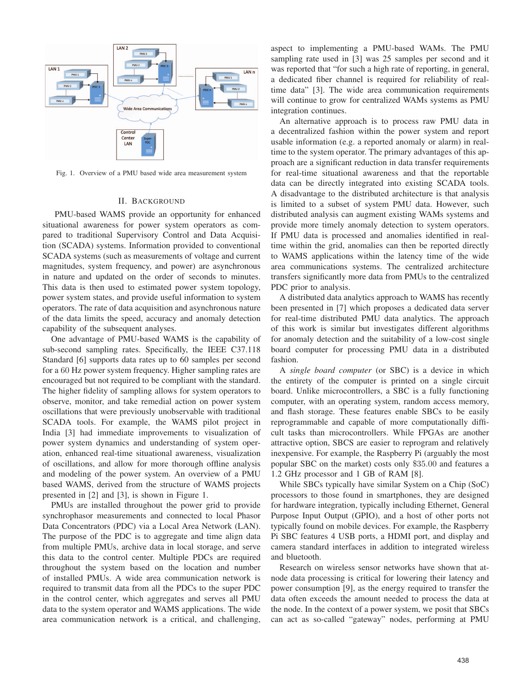

Fig. 1. Overview of a PMU based wide area measurement system

## II. BACKGROUND

PMU-based WAMS provide an opportunity for enhanced situational awareness for power system operators as compared to traditional Supervisory Control and Data Acquisition (SCADA) systems. Information provided to conventional SCADA systems (such as measurements of voltage and current magnitudes, system frequency, and power) are asynchronous in nature and updated on the order of seconds to minutes. This data is then used to estimated power system topology, power system states, and provide useful information to system operators. The rate of data acquisition and asynchronous nature of the data limits the speed, accuracy and anomaly detection capability of the subsequent analyses.

One advantage of PMU-based WAMS is the capability of sub-second sampling rates. Specifically, the IEEE C37.118 Standard [6] supports data rates up to 60 samples per second for a 60 Hz power system frequency. Higher sampling rates are encouraged but not required to be compliant with the standard. The higher fidelity of sampling allows for system operators to observe, monitor, and take remedial action on power system oscillations that were previously unobservable with traditional SCADA tools. For example, the WAMS pilot project in India [3] had immediate improvements to visualization of power system dynamics and understanding of system operation, enhanced real-time situational awareness, visualization of oscillations, and allow for more thorough offline analysis and modeling of the power system. An overview of a PMU based WAMS, derived from the structure of WAMS projects presented in [2] and [3], is shown in Figure 1.

PMUs are installed throughout the power grid to provide synchrophasor measurements and connected to local Phasor Data Concentrators (PDC) via a Local Area Network (LAN). The purpose of the PDC is to aggregate and time align data from multiple PMUs, archive data in local storage, and serve this data to the control center. Multiple PDCs are required throughout the system based on the location and number of installed PMUs. A wide area communication network is required to transmit data from all the PDCs to the super PDC in the control center, which aggregates and serves all PMU data to the system operator and WAMS applications. The wide area communication network is a critical, and challenging, aspect to implementing a PMU-based WAMs. The PMU sampling rate used in [3] was 25 samples per second and it was reported that "for such a high rate of reporting, in general, a dedicated fiber channel is required for reliability of realtime data" [3]. The wide area communication requirements will continue to grow for centralized WAMs systems as PMU integration continues.

An alternative approach is to process raw PMU data in a decentralized fashion within the power system and report usable information (e.g. a reported anomaly or alarm) in realtime to the system operator. The primary advantages of this approach are a significant reduction in data transfer requirements for real-time situational awareness and that the reportable data can be directly integrated into existing SCADA tools. A disadvantage to the distributed architecture is that analysis is limited to a subset of system PMU data. However, such distributed analysis can augment existing WAMs systems and provide more timely anomaly detection to system operators. If PMU data is processed and anomalies identified in realtime within the grid, anomalies can then be reported directly to WAMS applications within the latency time of the wide area communications systems. The centralized architecture transfers significantly more data from PMUs to the centralized PDC prior to analysis.

A distributed data analytics approach to WAMS has recently been presented in [7] which proposes a dedicated data server for real-time distributed PMU data analytics. The approach of this work is similar but investigates different algorithms for anomaly detection and the suitability of a low-cost single board computer for processing PMU data in a distributed fashion.

A *single board computer* (or SBC) is a device in which the entirety of the computer is printed on a single circuit board. Unlike microcontrollers, a SBC is a fully functioning computer, with an operating system, random access memory, and flash storage. These features enable SBCs to be easily reprogrammable and capable of more computationally difficult tasks than microcontrollers. While FPGAs are another attractive option, SBCS are easier to reprogram and relatively inexpensive. For example, the Raspberry Pi (arguably the most popular SBC on the market) costs only \$35.00 and features a 1.2 GHz processor and 1 GB of RAM [8].

While SBCs typically have similar System on a Chip (SoC) processors to those found in smartphones, they are designed for hardware integration, typically including Ethernet, General Purpose Input Output (GPIO), and a host of other ports not typically found on mobile devices. For example, the Raspberry Pi SBC features 4 USB ports, a HDMI port, and display and camera standard interfaces in addition to integrated wireless and bluetooth.

Research on wireless sensor networks have shown that atnode data processing is critical for lowering their latency and power consumption [9], as the energy required to transfer the data often exceeds the amount needed to process the data at the node. In the context of a power system, we posit that SBCs can act as so-called "gateway" nodes, performing at PMU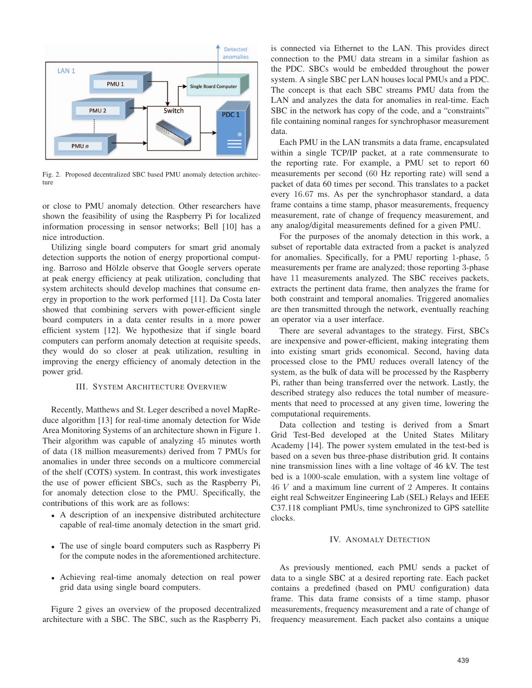

Fig. 2. Proposed decentralized SBC based PMU anomaly detection architecture

or close to PMU anomaly detection. Other researchers have shown the feasibility of using the Raspberry Pi for localized information processing in sensor networks; Bell [10] has a nice introduction.

Utilizing single board computers for smart grid anomaly detection supports the notion of energy proportional computing. Barroso and Hölzle observe that Google servers operate at peak energy efficiency at peak utilization, concluding that system architects should develop machines that consume energy in proportion to the work performed [11]. Da Costa later showed that combining servers with power-efficient single board computers in a data center results in a more power efficient system [12]. We hypothesize that if single board computers can perform anomaly detection at requisite speeds, they would do so closer at peak utilization, resulting in improving the energy efficiency of anomaly detection in the power grid.

# III. SYSTEM ARCHITECTURE OVERVIEW

Recently, Matthews and St. Leger described a novel MapReduce algorithm [13] for real-time anomaly detection for Wide Area Monitoring Systems of an architecture shown in Figure 1. Their algorithm was capable of analyzing 45 minutes worth of data (18 million measurements) derived from 7 PMUs for anomalies in under three seconds on a multicore commercial of the shelf (COTS) system. In contrast, this work investigates the use of power efficient SBCs, such as the Raspberry Pi, for anomaly detection close to the PMU. Specifically, the contributions of this work are as follows:

- A description of an inexpensive distributed architecture capable of real-time anomaly detection in the smart grid.
- The use of single board computers such as Raspberry Pi for the compute nodes in the aforementioned architecture.
- Achieving real-time anomaly detection on real power grid data using single board computers.

Figure 2 gives an overview of the proposed decentralized architecture with a SBC. The SBC, such as the Raspberry Pi, is connected via Ethernet to the LAN. This provides direct connection to the PMU data stream in a similar fashion as the PDC. SBCs would be embedded throughout the power system. A single SBC per LAN houses local PMUs and a PDC. The concept is that each SBC streams PMU data from the LAN and analyzes the data for anomalies in real-time. Each SBC in the network has copy of the code, and a "constraints" file containing nominal ranges for synchrophasor measurement data.

Each PMU in the LAN transmits a data frame, encapsulated within a single TCP/IP packet, at a rate commensurate to the reporting rate. For example, a PMU set to report 60 measurements per second (60 Hz reporting rate) will send a packet of data 60 times per second. This translates to a packet every 16.67 ms. As per the synchrophasor standard, a data frame contains a time stamp, phasor measurements, frequency measurement, rate of change of frequency measurement, and any analog/digital measurements defined for a given PMU.

For the purposes of the anomaly detection in this work, a subset of reportable data extracted from a packet is analyzed for anomalies. Specifically, for a PMU reporting 1-phase, 5 measurements per frame are analyzed; those reporting 3-phase have 11 measurements analyzed. The SBC receives packets, extracts the pertinent data frame, then analyzes the frame for both constraint and temporal anomalies. Triggered anomalies are then transmitted through the network, eventually reaching an operator via a user interface.

There are several advantages to the strategy. First, SBCs are inexpensive and power-efficient, making integrating them into existing smart grids economical. Second, having data processed close to the PMU reduces overall latency of the system, as the bulk of data will be processed by the Raspberry Pi, rather than being transferred over the network. Lastly, the described strategy also reduces the total number of measurements that need to processed at any given time, lowering the computational requirements.

Data collection and testing is derived from a Smart Grid Test-Bed developed at the United States Military Academy [14]. The power system emulated in the test-bed is based on a seven bus three-phase distribution grid. It contains nine transmission lines with a line voltage of 46 kV. The test bed is a 1000-scale emulation, with a system line voltage of 46 V and a maximum line current of 2 Amperes. It contains eight real Schweitzer Engineering Lab (SEL) Relays and IEEE C37.118 compliant PMUs, time synchronized to GPS satellite clocks.

# IV. ANOMALY DETECTION

As previously mentioned, each PMU sends a packet of data to a single SBC at a desired reporting rate. Each packet contains a predefined (based on PMU configuration) data frame. This data frame consists of a time stamp, phasor measurements, frequency measurement and a rate of change of frequency measurement. Each packet also contains a unique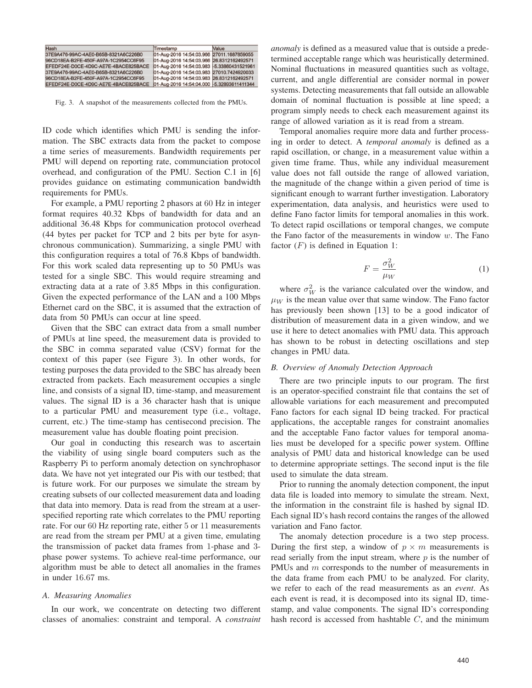| <b>Hash</b>                          | Timestamp                                  | Value |
|--------------------------------------|--------------------------------------------|-------|
| 37E9A476-99AC-4AE0-B65B-8321A6C226B0 | 01-Aug-2016 14:54:03.966 27011.1687859055  |       |
| 96CD18EA-B2FE-450F-A97A-1C2954CC6F95 | 01-Aug-2016 14:54:03.966 26.8312162492571  |       |
| EFEDF24E-D0CE-4D9C-AE7E-4BACE825BACE | 01-Aug-2016 14:54:03.983 -5.33860431521961 |       |
| 37E9A476-99AC-4AE0-B65B-8321A6C226B0 | 01-Aug-2016 14:54:03.983 27010.7424920033  |       |
| 96CD18EA-B2FE-450F-A97A-1C2954CC6F95 | 01-Aug-2016 14:54:03.983 26.8312162492571  |       |
| EFEDF24E-D0CE-4D9C-AE7E-4BACE825BACE | 01-Aug-2016 14:54:04.000 -5.32893611411344 |       |

Fig. 3. A snapshot of the measurements collected from the PMUs.

ID code which identifies which PMU is sending the information. The SBC extracts data from the packet to compose a time series of measurements. Bandwidth requirements per PMU will depend on reporting rate, communciation protocol overhead, and configuration of the PMU. Section C.1 in [6] provides guidance on estimating communication bandwidth requirements for PMUs.

For example, a PMU reporting 2 phasors at 60 Hz in integer format requires 40.32 Kbps of bandwidth for data and an additional 36.48 Kbps for communication protocol overhead (44 bytes per packet for TCP and 2 bits per byte for asynchronous communication). Summarizing, a single PMU with this configuration requires a total of 76.8 Kbps of bandwidth. For this work scaled data representing up to 50 PMUs was tested for a single SBC. This would require streaming and extracting data at a rate of 3.85 Mbps in this configuration. Given the expected performance of the LAN and a 100 Mbps Ethernet card on the SBC, it is assumed that the extraction of data from 50 PMUs can occur at line speed.

Given that the SBC can extract data from a small number of PMUs at line speed, the measurement data is provided to the SBC in comma separated value (CSV) format for the context of this paper (see Figure 3). In other words, for testing purposes the data provided to the SBC has already been extracted from packets. Each measurement occupies a single line, and consists of a signal ID, time-stamp, and measurement values. The signal ID is a 36 character hash that is unique to a particular PMU and measurement type (i.e., voltage, current, etc.) The time-stamp has centisecond precision. The measurement value has double floating point precision.

Our goal in conducting this research was to ascertain the viability of using single board computers such as the Raspberry Pi to perform anomaly detection on synchrophasor data. We have not yet integrated our Pis with our testbed; that is future work. For our purposes we simulate the stream by creating subsets of our collected measurement data and loading that data into memory. Data is read from the stream at a userspecified reporting rate which correlates to the PMU reporting rate. For our 60 Hz reporting rate, either 5 or 11 measurements are read from the stream per PMU at a given time, emulating the transmission of packet data frames from 1-phase and 3 phase power systems. To achieve real-time performance, our algorithm must be able to detect all anomalies in the frames in under 16.67 ms.

#### *A. Measuring Anomalies*

In our work, we concentrate on detecting two different classes of anomalies: constraint and temporal. A *constraint* *anomaly* is defined as a measured value that is outside a predetermined acceptable range which was heuristically determined. Nominal fluctuations in measured quantities such as voltage, current, and angle differential are consider normal in power systems. Detecting measurements that fall outside an allowable domain of nominal fluctuation is possible at line speed; a program simply needs to check each measurement against its range of allowed variation as it is read from a stream.

Temporal anomalies require more data and further processing in order to detect. A *temporal anomaly* is defined as a rapid oscillation, or change, in a measurement value within a given time frame. Thus, while any individual measurement value does not fall outside the range of allowed variation, the magnitude of the change within a given period of time is significant enough to warrant further investigation. Laboratory experimentation, data analysis, and heuristics were used to define Fano factor limits for temporal anomalies in this work. To detect rapid oscillations or temporal changes, we compute the Fano factor of the measurements in window  $w$ . The Fano factor  $(F)$  is defined in Equation 1:

$$
F = \frac{\sigma_W^2}{\mu_W} \tag{1}
$$

where  $\sigma_W^2$  is the variance calculated over the window, and  $\mu_W$  is the mean value over that same window. The Fano factor has previously been shown [13] to be a good indicator of distribution of measurement data in a given window, and we use it here to detect anomalies with PMU data. This approach has shown to be robust in detecting oscillations and step changes in PMU data.

## *B. Overview of Anomaly Detection Approach*

There are two principle inputs to our program. The first is an operator-specified constraint file that contains the set of allowable variations for each measurement and precomputed Fano factors for each signal ID being tracked. For practical applications, the acceptable ranges for constraint anomalies and the acceptable Fano factor values for temporal anomalies must be developed for a specific power system. Offline analysis of PMU data and historical knowledge can be used to determine appropriate settings. The second input is the file used to simulate the data stream.

Prior to running the anomaly detection component, the input data file is loaded into memory to simulate the stream. Next, the information in the constraint file is hashed by signal ID. Each signal ID's hash record contains the ranges of the allowed variation and Fano factor.

The anomaly detection procedure is a two step process. During the first step, a window of  $p \times m$  measurements is read serially from the input stream, where  $p$  is the number of PMUs and m corresponds to the number of measurements in the data frame from each PMU to be analyzed. For clarity, we refer to each of the read measurements as an *event*. As each event is read, it is decomposed into its signal ID, timestamp, and value components. The signal ID's corresponding hash record is accessed from hashtable  $C$ , and the minimum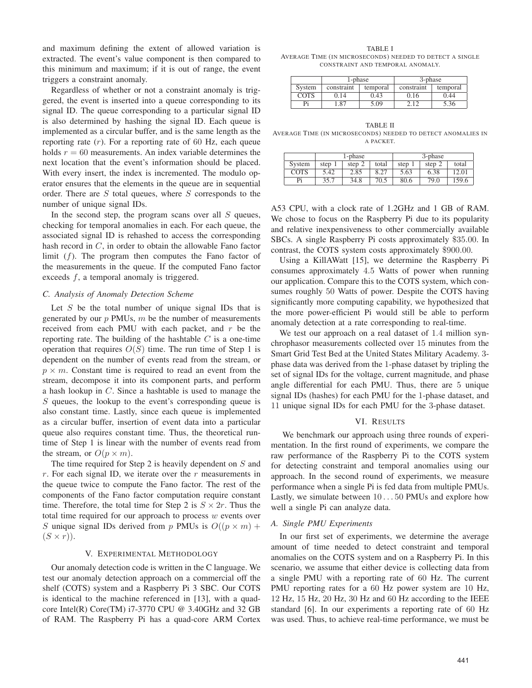and maximum defining the extent of allowed variation is extracted. The event's value component is then compared to this minimum and maximum; if it is out of range, the event triggers a constraint anomaly.

Regardless of whether or not a constraint anomaly is triggered, the event is inserted into a queue corresponding to its signal ID. The queue corresponding to a particular signal ID is also determined by hashing the signal ID. Each queue is implemented as a circular buffer, and is the same length as the reporting rate  $(r)$ . For a reporting rate of 60 Hz, each queue holds  $r = 60$  measurements. An index variable determines the next location that the event's information should be placed. With every insert, the index is incremented. The modulo operator ensures that the elements in the queue are in sequential order. There are  $S$  total queues, where  $S$  corresponds to the number of unique signal IDs.

In the second step, the program scans over all  $S$  queues, checking for temporal anomalies in each. For each queue, the associated signal ID is rehashed to access the corresponding hash record in C, in order to obtain the allowable Fano factor limit  $(f)$ . The program then computes the Fano factor of the measurements in the queue. If the computed Fano factor exceeds  $f$ , a temporal anomaly is triggered.

## *C. Analysis of Anomaly Detection Scheme*

Let  $S$  be the total number of unique signal IDs that is generated by our  $p$  PMUs,  $m$  be the number of measurements received from each PMU with each packet, and  $r$  be the reporting rate. The building of the hashtable  $C$  is a one-time operation that requires  $O(S)$  time. The run time of Step 1 is dependent on the number of events read from the stream, or  $p \times m$ . Constant time is required to read an event from the stream, decompose it into its component parts, and perform a hash lookup in C. Since a hashtable is used to manage the S queues, the lookup to the event's corresponding queue is also constant time. Lastly, since each queue is implemented as a circular buffer, insertion of event data into a particular queue also requires constant time. Thus, the theoretical runtime of Step 1 is linear with the number of events read from the stream, or  $O(p \times m)$ .

The time required for Step 2 is heavily dependent on  $S$  and  $r$ . For each signal ID, we iterate over the  $r$  measurements in the queue twice to compute the Fano factor. The rest of the components of the Fano factor computation require constant time. Therefore, the total time for Step 2 is  $S \times 2r$ . Thus the total time required for our approach to process  $w$  events over S unique signal IDs derived from p PMUs is  $O((p \times m) +$  $(S \times r)$ ).

## V. EXPERIMENTAL METHODOLOGY

Our anomaly detection code is written in the C language. We test our anomaly detection approach on a commercial off the shelf (COTS) system and a Raspberry Pi 3 SBC. Our COTS is identical to the machine referenced in [13], with a quadcore Intel(R) Core(TM) i7-3770 CPU @ 3.40GHz and 32 GB of RAM. The Raspberry Pi has a quad-core ARM Cortex

TABLE I AVERAGE TIME (IN MICROSECONDS) NEEDED TO DETECT A SINGLE CONSTRAINT AND TEMPORAL ANOMALY.

|             | 1-phase    |          | 3-phase    |          |
|-------------|------------|----------|------------|----------|
| System      | constraint | temporal | constraint | temporal |
| <b>COTS</b> | 0.14       | 0.43     | 0.16       | 0.44     |
|             | $.8^-$     | 5.09     |            | 5.36     |

TABLE II AVERAGE TIME (IN MICROSECONDS) NEEDED TO DETECT ANOMALIES IN A PACKET.

|             | 1-phase |        | 3-phase |        |        |       |
|-------------|---------|--------|---------|--------|--------|-------|
| System      | step 1  | step 2 | total   | step 1 | step 2 | total |
| <b>COTS</b> | 5.42    | 2.85   |         | 5.63   | 6.38   | 12.01 |
| Pi          | 35.7    | 34.8   | 70.5    | 80.6   | 79.0   | 159.6 |

A53 CPU, with a clock rate of 1.2GHz and 1 GB of RAM. We chose to focus on the Raspberry Pi due to its popularity and relative inexpensiveness to other commercially available SBCs. A single Raspberry Pi costs approximately \$35.00. In contrast, the COTS system costs approximately \$900.00.

Using a KillAWatt [15], we determine the Raspberry Pi consumes approximately 4.5 Watts of power when running our application. Compare this to the COTS system, which consumes roughly 50 Watts of power. Despite the COTS having significantly more computing capability, we hypothesized that the more power-efficient Pi would still be able to perform anomaly detection at a rate corresponding to real-time.

We test our approach on a real dataset of 1.4 million synchrophasor measurements collected over 15 minutes from the Smart Grid Test Bed at the United States Military Academy. 3 phase data was derived from the 1-phase dataset by tripling the set of signal IDs for the voltage, current magnitude, and phase angle differential for each PMU. Thus, there are 5 unique signal IDs (hashes) for each PMU for the 1-phase dataset, and 11 unique signal IDs for each PMU for the 3-phase dataset.

# VI. RESULTS

We benchmark our approach using three rounds of experimentation. In the first round of experiments, we compare the raw performance of the Raspberry Pi to the COTS system for detecting constraint and temporal anomalies using our approach. In the second round of experiments, we measure performance when a single Pi is fed data from multiple PMUs. Lastly, we simulate between 10 ... 50 PMUs and explore how well a single Pi can analyze data.

#### *A. Single PMU Experiments*

In our first set of experiments, we determine the average amount of time needed to detect constraint and temporal anomalies on the COTS system and on a Raspberry Pi. In this scenario, we assume that either device is collecting data from a single PMU with a reporting rate of 60 Hz. The current PMU reporting rates for a 60 Hz power system are 10 Hz, 12 Hz, 15 Hz, 20 Hz, 30 Hz and 60 Hz according to the IEEE standard [6]. In our experiments a reporting rate of 60 Hz was used. Thus, to achieve real-time performance, we must be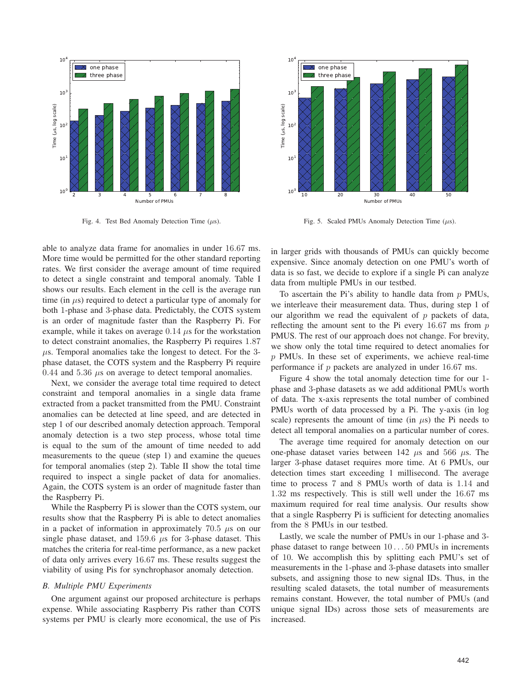

Fig. 4. Test Bed Anomaly Detection Time  $(\mu s)$ .

able to analyze data frame for anomalies in under 16.67 ms. More time would be permitted for the other standard reporting rates. We first consider the average amount of time required to detect a single constraint and temporal anomaly. Table I shows our results. Each element in the cell is the average run time (in  $\mu$ s) required to detect a particular type of anomaly for both 1-phase and 3-phase data. Predictably, the COTS system is an order of magnitude faster than the Raspberry Pi. For example, while it takes on average  $0.14 \mu s$  for the workstation to detect constraint anomalies, the Raspberry Pi requires 1.87  $\mu$ s. Temporal anomalies take the longest to detect. For the 3phase dataset, the COTS system and the Raspberry Pi require 0.44 and 5.36  $\mu$ s on average to detect temporal anomalies.

Next, we consider the average total time required to detect constraint and temporal anomalies in a single data frame extracted from a packet transmitted from the PMU. Constraint anomalies can be detected at line speed, and are detected in step 1 of our described anomaly detection approach. Temporal anomaly detection is a two step process, whose total time is equal to the sum of the amount of time needed to add measurements to the queue (step 1) and examine the queues for temporal anomalies (step 2). Table II show the total time required to inspect a single packet of data for anomalies. Again, the COTS system is an order of magnitude faster than the Raspberry Pi.

While the Raspberry Pi is slower than the COTS system, our results show that the Raspberry Pi is able to detect anomalies in a packet of information in approximately 70.5  $\mu$ s on our single phase dataset, and 159.6  $\mu$ s for 3-phase dataset. This matches the criteria for real-time performance, as a new packet of data only arrives every 16.67 ms. These results suggest the viability of using Pis for synchrophasor anomaly detection.

## *B. Multiple PMU Experiments*

One argument against our proposed architecture is perhaps expense. While associating Raspberry Pis rather than COTS systems per PMU is clearly more economical, the use of Pis



Fig. 5. Scaled PMUs Anomaly Detection Time  $(\mu s)$ .

in larger grids with thousands of PMUs can quickly become expensive. Since anomaly detection on one PMU's worth of data is so fast, we decide to explore if a single Pi can analyze data from multiple PMUs in our testbed.

To ascertain the Pi's ability to handle data from  $p$  PMUs, we interleave their measurement data. Thus, during step 1 of our algorithm we read the equivalent of  $p$  packets of data, reflecting the amount sent to the Pi every  $16.67$  ms from  $p$ PMUS. The rest of our approach does not change. For brevity, we show only the total time required to detect anomalies for  $p$  PMUs. In these set of experiments, we achieve real-time performance if  $p$  packets are analyzed in under 16.67 ms.

Figure 4 show the total anomaly detection time for our 1 phase and 3-phase datasets as we add additional PMUs worth of data. The x-axis represents the total number of combined PMUs worth of data processed by a Pi. The y-axis (in log scale) represents the amount of time (in  $\mu$ s) the Pi needs to detect all temporal anomalies on a particular number of cores.

The average time required for anomaly detection on our one-phase dataset varies between 142  $\mu$ s and 566  $\mu$ s. The larger 3-phase dataset requires more time. At 6 PMUs, our detection times start exceeding 1 millisecond. The average time to process 7 and 8 PMUs worth of data is 1.14 and 1.32 ms respectively. This is still well under the 16.67 ms maximum required for real time analysis. Our results show that a single Raspberry Pi is sufficient for detecting anomalies from the 8 PMUs in our testbed.

Lastly, we scale the number of PMUs in our 1-phase and 3 phase dataset to range between 10 ... 50 PMUs in increments of 10. We accomplish this by splitting each PMU's set of measurements in the 1-phase and 3-phase datasets into smaller subsets, and assigning those to new signal IDs. Thus, in the resulting scaled datasets, the total number of measurements remains constant. However, the total number of PMUs (and unique signal IDs) across those sets of measurements are increased.